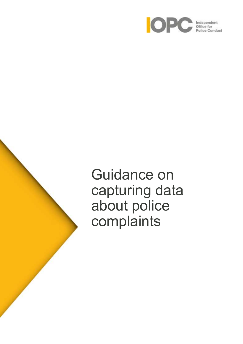

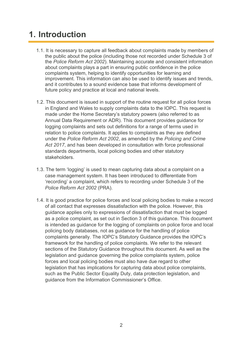# **1. Introduction**

- 1.1. It is necessary to capture all feedback about complaints made by members of the public about the police (including those not recorded under Schedule 3 of the *Police Reform Act 2002*). Maintaining accurate and consistent information about complaints plays a part in ensuring public confidence in the police complaints system, helping to identify opportunities for learning and improvement. This information can also be used to identify issues and trends, and it contributes to a sound evidence base that informs development of future policy and practice at local and national levels.
- 1.2. This document is issued in support of the routine request for all police forces in England and Wales to supply complaints data to the IOPC. This request is made under the Home Secretary's statutory powers (also referred to as Annual Data Requirement or ADR). This document provides guidance for logging complaints and sets out definitions for a range of terms used in relation to police complaints. It applies to complaints as they are defined under the *Police Reform Act 2002*, as amended by the *Policing and Crime Act 2017*, and has been developed in consultation with force professional standards departments, local policing bodies and other statutory stakeholders.
- 1.3. The term 'logging' is used to mean capturing data about a complaint on a case management system. It has been introduced to differentiate from 'recording' a complaint, which refers to recording under Schedule 3 of the *Police Reform Act 2002* (PRA).
- 1.4. It is good practice for police forces and local policing bodies to make a record of all contact that expresses dissatisfaction with the police. However, this guidance applies only to expressions of dissatisfaction that must be logged as a police complaint, as set out in Section 3 of this guidance. This document is intended as guidance for the logging of complaints on police force and local policing body databases, not as guidance for the handling of police complaints generally. The IOPC's Statutory Guidance provides the IOPC's framework for the handling of police complaints. We refer to the relevant sections of the Statutory Guidance throughout this document. As well as the legislation and guidance governing the police complaints system, police forces and local policing bodies must also have due regard to other legislation that has implications for capturing data about police complaints, such as the Public Sector Equality Duty, data protection legislation, and guidance from the Information Commissioner's Office.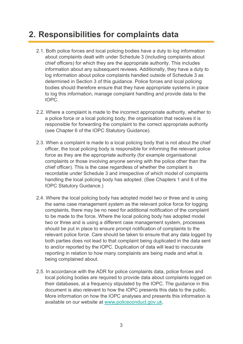# **2. Responsibilities for complaints data**

- 2.1. Both police forces and local policing bodies have a duty to log information about complaints dealt with under Schedule 3 (including complaints about chief officers) for which they are the appropriate authority. This includes information about any subsequent reviews. Additionally, they have a duty to log information about police complaints handled outside of Schedule 3 as determined in Section 3 of this guidance. Police forces and local policing bodies should therefore ensure that they have appropriate systems in place to log this information, manage complaint handling and provide data to the IOPC.
- 2.2. Where a complaint is made to the incorrect appropriate authority, whether to a police force or a local policing body, the organisation that receives it is responsible for forwarding the complaint to the correct appropriate authority (see Chapter 6 of the IOPC Statutory Guidance).
- 2.3. When a complaint is made to a local policing body that is not about the chief officer, the local policing body is responsible for informing the relevant police force as they are the appropriate authority (for example organisational complaints or those involving anyone serving with the police other than the chief officer). This is the case regardless of whether the complaint is recordable under Schedule 3 and irrespective of which model of complaints handling the local policing body has adopted. (See Chapters 1 and 6 of the IOPC Statutory Guidance.)
- 2.4. Where the local policing body has adopted model two or three and is using the same case management system as the relevant police force for logging complaints, there may be no need for additional notification of the complaint to be made to the force. Where the local policing body has adopted model two or three and is using a different case management system, processes should be put in place to ensure prompt notification of complaints to the relevant police force. Care should be taken to ensure that any data logged by both parties does not lead to that complaint being duplicated in the data sent to and/or reported by the IOPC. Duplication of data will lead to inaccurate reporting in relation to how many complaints are being made and what is being complained about.
- 2.5. In accordance with the ADR for police complaints data, police forces and local policing bodies are required to provide data about complaints logged on their databases, at a frequency stipulated by the IOPC. The guidance in this document is also relevant to how the IOPC presents this data to the public. More information on how the IOPC analyses and presents this information is available on our website at [www.policeconduct.gov.uk.](http://www.policeconduct.gov.uk/)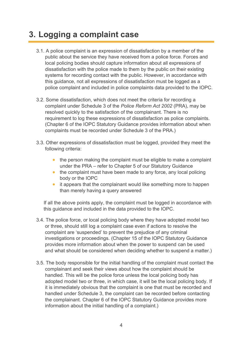# **3. Logging a complaint case**

- 3.1. A police complaint is an expression of dissatisfaction by a member of the public about the service they have received from a police force. Forces and local policing bodies should capture information about all expressions of dissatisfaction with the police made to them by the public on their existing systems for recording contact with the public. However, in accordance with this guidance, not all expressions of dissatisfaction must be logged as a police complaint and included in police complaints data provided to the IOPC.
- 3.2. Some dissatisfaction, which does not meet the criteria for recording a complaint under Schedule 3 of the *Police Reform Act 2002* (PRA), may be resolved quickly to the satisfaction of the complainant. There is no requirement to log these expressions of dissatisfaction as police complaints. (Chapter 6 of the IOPC Statutory Guidance provides information about when complaints must be recorded under Schedule 3 of the PRA.)
- 3.3. Other expressions of dissatisfaction must be logged, provided they meet the following criteria:
	- the person making the complaint must be eligible to make a complaint under the PRA – refer to Chapter 5 of our Statutory Guidance
	- the complaint must have been made to any force, any local policing body or the IOPC
	- it appears that the complainant would like something more to happen than merely having a query answered

If all the above points apply, the complaint must be logged in accordance with this guidance and included in the data provided to the IOPC.

- 3.4. The police force, or local policing body where they have adopted model two or three, should still log a complaint case even if actions to resolve the complaint are 'suspended' to prevent the prejudice of any criminal investigations or proceedings. (Chapter 15 of the IOPC Statutory Guidance provides more information about when the power to suspend can be used and what should be considered when deciding whether to suspend a matter.)
- 3.5. The body responsible for the initial handling of the complaint must contact the complainant and seek their views about how the complaint should be handled. This will be the police force unless the local policing body has adopted model two or three, in which case, it will be the local policing body. If it is immediately obvious that the complaint is one that must be recorded and handled under Schedule 3, the complaint can be recorded before contacting the complainant. Chapter 6 of the IOPC Statutory Guidance provides more information about the initial handling of a complaint.)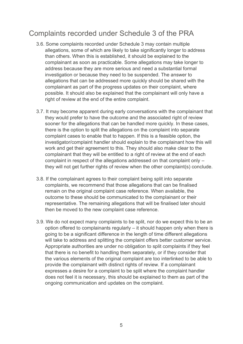## Complaints recorded under Schedule 3 of the PRA

- 3.6. Some complaints recorded under Schedule 3 may contain multiple allegations, some of which are likely to take significantly longer to address than others. When this is established, it should be explained to the complainant as soon as practicable. Some allegations may take longer to address because they are more serious and need a substantial formal investigation or because they need to be suspended. The answer to allegations that can be addressed more quickly should be shared with the complainant as part of the progress updates on their complaint, where possible. It should also be explained that the complainant will only have a right of review at the end of the entire complaint.
- 3.7. It may become apparent during early conversations with the complainant that they would prefer to have the outcome and the associated right of review sooner for the allegations that can be handled more quickly. In these cases, there is the option to split the allegations on the complaint into separate complaint cases to enable that to happen. If this is a feasible option, the investigator/complaint handler should explain to the complainant how this will work and get their agreement to this. They should also make clear to the complainant that they will be entitled to a right of review at the end of each complaint in respect of the allegations addressed on that complaint only – they will not get further rights of review when the other complaint(s) conclude.
- 3.8. If the complainant agrees to their complaint being split into separate complaints, we recommend that those allegations that can be finalised remain on the original complaint case reference. When available, the outcome to these should be communicated to the complainant or their representative. The remaining allegations that will be finalised later should then be moved to the new complaint case reference.
- 3.9. We do not expect many complaints to be split, nor do we expect this to be an option offered to complainants regularly – it should happen only when there is going to be a significant difference in the length of time different allegations will take to address and splitting the complaint offers better customer service. Appropriate authorities are under no obligation to split complaints if they feel that there is no benefit to handling them separately, or if they consider that the various elements of the original complaint are too interlinked to be able to provide the complainant with distinct rights of review. If a complainant expresses a desire for a complaint to be split where the complaint handler does not feel it is necessary, this should be explained to them as part of the ongoing communication and updates on the complaint.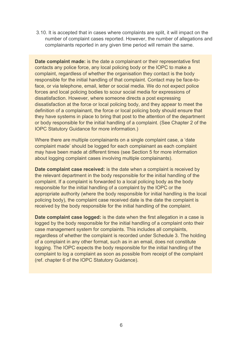3.10. It is accepted that in cases where complaints are split, it will impact on the number of complaint cases reported. However, the number of allegations and complainants reported in any given time period will remain the same.

**Date complaint made:** is the date a complainant or their representative first contacts any police force, any local policing body or the IOPC to make a complaint, regardless of whether the organisation they contact is the body responsible for the initial handling of that complaint. Contact may be face-toface, or via telephone, email, letter or social media. We do not expect police forces and local policing bodies to scour social media for expressions of dissatisfaction. However, where someone directs a post expressing dissatisfaction at the force or local policing body, and they appear to meet the definition of a complainant, the force or local policing body should ensure that they have systems in place to bring that post to the attention of the department or body responsible for the initial handling of a complaint. (See Chapter 2 of the IOPC Statutory Guidance for more information.)

Where there are multiple complainants on a single complaint case, a 'date complaint made' should be logged for each complainant as each complaint may have been made at different times (see Section 5 for more information about logging complaint cases involving multiple complainants).

**Date complaint case received:** is the date when a complaint is received by the relevant department in the body responsible for the initial handling of the complaint. If a complaint is forwarded to a local policing body as the body responsible for the initial handling of a complaint by the IOPC or the appropriate authority (where the body responsible for initial handling is the local policing body), the complaint case received date is the date the complaint is received by the body responsible for the initial handling of the complaint.

**Date complaint case logged:** is the date when the first allegation in a case is logged by the body responsible for the initial handling of a complaint onto their case management system for complaints. This includes all complaints, regardless of whether the complaint is recorded under Schedule 3. The holding of a complaint in any other format, such as in an email, does not constitute logging. The IOPC expects the body responsible for the initial handling of the complaint to log a complaint as soon as possible from receipt of the complaint (ref. chapter 6 of the IOPC Statutory Guidance).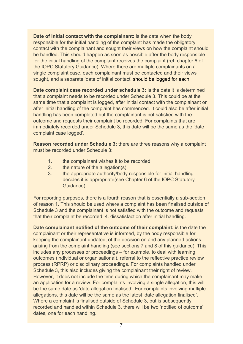**Date of initial contact with the complainant:** is the date when the body responsible for the initial handling of the complaint has made the obligatory contact with the complainant and sought their views on how the complaint should be handled. This should happen as soon as possible after the body responsible for the initial handling of the complaint receives the complaint (ref. chapter 6 of the IOPC Statutory Guidance). Where there are multiple complainants on a single complaint case, each complainant must be contacted and their views sought, and a separate 'date of initial contact' should be logged for each.

**Date complaint case recorded under schedule 3:** is the date it is determined that a complaint needs to be recorded under Schedule 3. This could be at the same time that a complaint is logged, after initial contact with the complainant or after initial handling of the complaint has commenced. It could also be after initial handling has been completed but the complainant is not satisfied with the outcome and requests their complaint be recorded. For complaints that are immediately recorded under Schedule 3, this date will be the same as the 'date complaint case logged'.

**Reason recorded under Schedule 3:** there are three reasons why a complaint must be recorded under Schedule 3:

- 1. the complainant wishes it to be recorded
- 2. the nature of the allegation(s)
- 3. the appropriate authority/body responsible for initial handling decides it is appropriate(see Chapter 6 of the IOPC Statutory Guidance)

For reporting purposes, there is a fourth reason that is essentially a sub-section of reason 1. This should be used where a complaint has been finalised outside of Schedule 3 and the complainant is not satisfied with the outcome and requests that their complaint be recorded: 4. dissatisfaction after initial handling.

**Date complainant notified of the outcome of their complaint:** is the date the complainant or their representative is informed, by the body responsible for keeping the complainant updated, of the decision on and any planned actions arising from the complaint handling (see sections 7 and 8 of this guidance). This includes any processes or proceedings – for example, to deal with learning outcomes (individual or organisational), referral to the reflective practice review process (RPRP) or disciplinary proceedings. For complaints handled under Schedule 3, this also includes giving the complainant their right of review. However, it does not include the time during which the complainant may make an application for a review. For complaints involving a single allegation, this will be the same date as 'date allegation finalised'. For complaints involving multiple allegations, this date will be the same as the latest 'date allegation finalised'. Where a complaint is finalised outside of Schedule 3, but is subsequently recorded and handled within Schedule 3, there will be two 'notified of outcome' dates, one for each handling.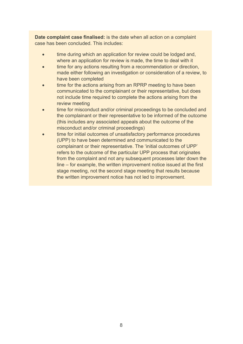**Date complaint case finalised:** is the date when all action on a complaint case has been concluded. This includes:

- time during which an application for review could be lodged and, where an application for review is made, the time to deal with it
- time for any actions resulting from a recommendation or direction, made either following an investigation or consideration of a review, to have been completed
- time for the actions arising from an RPRP meeting to have been communicated to the complainant or their representative, but does not include time required to complete the actions arising from the review meeting
- time for misconduct and/or criminal proceedings to be concluded and the complainant or their representative to be informed of the outcome (this includes any associated appeals about the outcome of the misconduct and/or criminal proceedings)
- time for initial outcomes of unsatisfactory performance procedures (UPP) to have been determined and communicated to the complainant or their representative. The 'initial outcomes of UPP' refers to the outcome of the particular UPP process that originates from the complaint and not any subsequent processes later down the line – for example, the written improvement notice issued at the first stage meeting, not the second stage meeting that results because the written improvement notice has not led to improvement.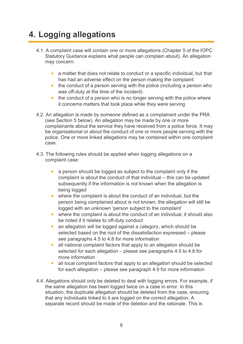# **4. Logging allegations**

- 4.1. A complaint case will contain one or more allegations (Chapter 5 of the IOPC Statutory Guidance explains what people can complain about). An allegation may concern:
	- a matter that does not relate to conduct or a specific individual, but that has had an adverse effect on the person making the complaint
	- the conduct of a person serving with the police (including a person who was off-duty at the time of the incident)
	- the conduct of a person who is no longer serving with the police where it concerns matters that took place while they were serving
- 4.2. An allegation is made by someone defined as a complainant under the PRA (see Section 5 below). An allegation may be made by one or more complainants about the service they have received from a police force. It may be organisational or about the conduct of one or more people serving with the police. One or more linked allegations may be contained within one complaint case.
- 4.3. The following rules should be applied when logging allegations on a complaint case:
	- a person should be logged as subject to the complaint only if the complaint is about the conduct of that individual – this can be updated subsequently if the information is not known when the allegation is being logged
	- where the complaint is about the conduct of an individual, but the person being complained about is not known, the allegation will still be logged with an unknown 'person subject to the complaint'
	- where the complaint is about the conduct of an individual, it should also be noted if it relates to off-duty conduct
	- an allegation will be logged against a category, which should be selected based on the root of the dissatisfaction expressed – please see paragraphs 4.5 to 4.8 for more information
	- all national complaint factors that apply to an allegation should be selected for each allegation – please see paragraphs 4.5 to 4.8 for more information
	- all local complaint factors that apply to an allegation should be selected for each allegation – please see paragraph 4.9 for more information
- 4.4. Allegations should only be deleted to deal with logging errors. For example, if the same allegation has been logged twice on a case in error. In this situation, the duplicate allegation should be deleted from the case, ensuring that any individuals linked to it are logged on the correct allegation. A separate record should be made of the deletion and the rationale. This is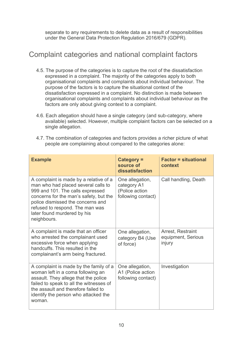separate to any requirements to delete data as a result of responsibilities under the General Data Protection Regulation 2016/679 (GDPR).

## Complaint categories and national complaint factors

- 4.5. The purpose of the categories is to capture the root of the dissatisfaction expressed in a complaint. The majority of the categories apply to both organisational complaints and complaints about individual behaviour. The purpose of the factors is to capture the situational context of the dissatisfaction expressed in a complaint. No distinction is made between organisational complaints and complaints about individual behaviour as the factors are only about giving context to a complaint.
- 4.6. Each allegation should have a single category (and sub-category, where available) selected. However, multiple complaint factors can be selected on a single allegation.
- 4.7. The combination of categories and factors provides a richer picture of what people are complaining about compared to the categories alone:

| <b>Example</b>                                                                                                                                                                                                                                                                    | Category =<br>source of<br>dissatisfaction                             | <b>Factor = situational</b><br>context            |
|-----------------------------------------------------------------------------------------------------------------------------------------------------------------------------------------------------------------------------------------------------------------------------------|------------------------------------------------------------------------|---------------------------------------------------|
| A complaint is made by a relative of a<br>man who had placed several calls to<br>999 and 101. The calls expressed<br>concerns for the man's safety, but the<br>police dismissed the concerns and<br>refused to respond. The man was<br>later found murdered by his<br>neighbours. | One allegation,<br>category A1<br>(Police action<br>following contact) | Call handling, Death                              |
| A complaint is made that an officer<br>who arrested the complainant used<br>excessive force when applying<br>handcuffs. This resulted in the<br>complainant's arm being fractured.                                                                                                | One allegation,<br>category B4 (Use<br>of force)                       | Arrest, Restraint<br>equipment, Serious<br>injury |
| A complaint is made by the family of a<br>woman left in a coma following an<br>assault. They allege that the police<br>failed to speak to all the witnesses of<br>the assault and therefore failed to<br>identify the person who attacked the<br>woman.                           | One allegation,<br>A1 (Police action<br>following contact)             | Investigation                                     |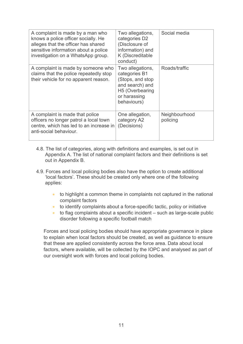| A complaint is made by a man who<br>knows a police officer socially. He<br>alleges that the officer has shared<br>sensitive information about a police<br>investigation on a WhatsApp group. | Two allegations,<br>categories D2<br>(Disclosure of<br>information) and<br>K (Discreditable<br>conduct)                    | Social media              |
|----------------------------------------------------------------------------------------------------------------------------------------------------------------------------------------------|----------------------------------------------------------------------------------------------------------------------------|---------------------------|
| A complaint is made by someone who<br>claims that the police repeatedly stop<br>their vehicle for no apparent reason.                                                                        | Two allegations,<br>categories B1<br>(Stops, and stop<br>and search) and<br>H5 (Overbearing<br>or harassing<br>behaviours) | Roads/traffic             |
| A complaint is made that police<br>officers no longer patrol a local town<br>centre, which has led to an increase in<br>anti-social behaviour.                                               | One allegation,<br>category A2<br>(Decisions)                                                                              | Neighbourhood<br>policing |

- 4.8. The list of categories, along with definitions and examples, is set out in Appendix A. The list of national complaint factors and their definitions is set out in Appendix B.
- 4.9. Forces and local policing bodies also have the option to create additional 'local factors'. These should be created only where one of the following applies:
	- to highlight a common theme in complaints not captured in the national complaint factors
	- to identify complaints about a force-specific tactic, policy or initiative
	- to flag complaints about a specific incident such as large-scale public disorder following a specific football match

Forces and local policing bodies should have appropriate governance in place to explain when local factors should be created, as well as guidance to ensure that these are applied consistently across the force area. Data about local factors, where available, will be collected by the IOPC and analysed as part of our oversight work with forces and local policing bodies.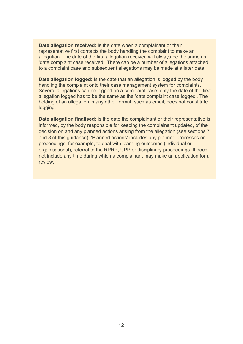**Date allegation received:** is the date when a complainant or their representative first contacts the body handling the complaint to make an allegation. The date of the first allegation received will always be the same as 'date complaint case received'. There can be a number of allegations attached to a complaint case and subsequent allegations may be made at a later date.

**Date allegation logged:** is the date that an allegation is logged by the body handling the complaint onto their case management system for complaints. Several allegations can be logged on a complaint case; only the date of the first allegation logged has to be the same as the 'date complaint case logged'. The holding of an allegation in any other format, such as email, does not constitute logging.

**Date allegation finalised:** is the date the complainant or their representative is informed, by the body responsible for keeping the complainant updated, of the decision on and any planned actions arising from the allegation (see sections 7 and 8 of this guidance). 'Planned actions' includes any planned processes or proceedings; for example, to deal with learning outcomes (individual or organisational), referral to the RPRP, UPP or disciplinary proceedings. It does not include any time during which a complainant may make an application for a review.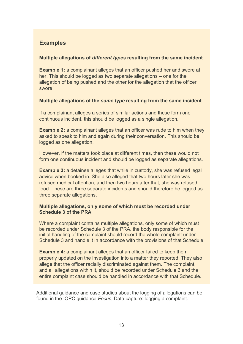### **Examples**

#### **Multiple allegations of** *different types* **resulting from the same incident**

**Example 1:** a complainant alleges that an officer pushed her and swore at her. This should be logged as two separate allegations – one for the allegation of being pushed and the other for the allegation that the officer swore.

#### **Multiple allegations of the** *same type* **resulting from the same incident**

If a complainant alleges a series of similar actions and these form one continuous incident, this should be logged as a single allegation.

**Example 2:** a complainant alleges that an officer was rude to him when they asked to speak to him and again during their conversation. This should be logged as one allegation.

However, if the matters took place at different times, then these would not form one continuous incident and should be logged as separate allegations.

**Example 3:** a detainee alleges that while in custody, she was refused legal advice when booked in. She also alleged that two hours later she was refused medical attention, and then two hours after that, she was refused food. These are three separate incidents and should therefore be logged as three separate allegations.

#### **Multiple allegations, only some of which must be recorded under Schedule 3 of the PRA**

Where a complaint contains multiple allegations, only some of which must be recorded under Schedule 3 of the PRA, the body responsible for the initial handling of the complaint should record the whole complaint under Schedule 3 and handle it in accordance with the provisions of that Schedule.

**Example 4:** a complainant alleges that an officer failed to keep them properly updated on the investigation into a matter they reported. They also allege that the officer racially discriminated against them. The complaint, and all allegations within it, should be recorded under Schedule 3 and the entire complaint case should be handled in accordance with that Schedule.

Additional guidance and case studies about the logging of allegations can be found in the IOPC guidance *Focus*, Data capture: logging a complaint.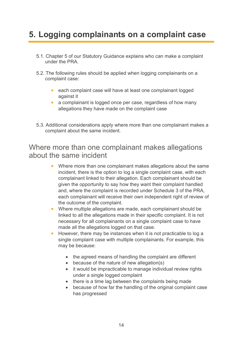# **5. Logging complainants on a complaint case**

- 5.1. Chapter 5 of our Statutory Guidance explains who can make a complaint under the PRA.
- 5.2. The following rules should be applied when logging complainants on a complaint case:
	- each complaint case will have at least one complainant logged against it
	- a complainant is logged once per case, regardless of how many allegations they have made on the complaint case
- 5.3. Additional considerations apply where more than one complainant makes a complaint about the same incident.

### Where more than one complainant makes allegations about the same incident

- Where more than one complainant makes allegations about the same incident, there is the option to log a single complaint case, with each complainant linked to their allegation. Each complainant should be given the opportunity to say how they want their complaint handled and, where the complaint is recorded under Schedule 3 of the PRA, each complainant will receive their own independent right of review of the outcome of the complaint.
- Where multiple allegations are made, each complainant should be linked to all the allegations made in their specific complaint. It is not necessary for all complainants on a single complaint case to have made all the allegations logged on that case.
- However, there may be instances when it is not practicable to log a single complaint case with multiple complainants. For example, this may be because:
	- the agreed means of handling the complaint are different
	- because of the nature of new allegation(s)
	- it would be impracticable to manage individual review rights under a single logged complaint
	- there is a time lag between the complaints being made
	- because of how far the handling of the original complaint case has progressed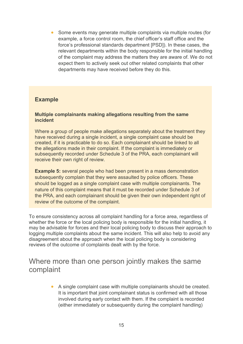• Some events may generate multiple complaints via multiple routes (for example, a force control room, the chief officer's staff office and the force's professional standards department [PSD]). In these cases, the relevant departments within the body responsible for the initial handling of the complaint may address the matters they are aware of. We do not expect them to actively seek out other related complaints that other departments may have received before they do this.

#### **Example**

#### **Multiple complainants making allegations resulting from the same incident**

Where a group of people make allegations separately about the treatment they have received during a single incident, a single complaint case should be created, if it is practicable to do so. Each complainant should be linked to all the allegations made in their complaint. If the complaint is immediately or subsequently recorded under Schedule 3 of the PRA, each complainant will receive their own right of review.

**Example 5:** several people who had been present in a mass demonstration subsequently complain that they were assaulted by police officers. These should be logged as a single complaint case with multiple complainants. The nature of this complaint means that it must be recorded under Schedule 3 of the PRA, and each complainant should be given their own independent right of review of the outcome of the complaint.

To ensure consistency across all complaint handling for a force area, regardless of whether the force or the local policing body is responsible for the initial handling, it may be advisable for forces and their local policing body to discuss their approach to logging multiple complaints about the same incident. This will also help to avoid any disagreement about the approach when the local policing body is considering reviews of the outcome of complaints dealt with by the force.

### Where more than one person jointly makes the same complaint

• A single complaint case with multiple complainants should be created. It is important that joint complainant status is confirmed with all those involved during early contact with them. If the complaint is recorded (either immediately or subsequently during the complaint handling)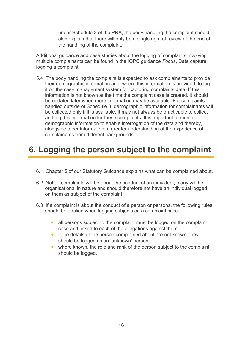under Schedule 3 of the PRA, the body handling the complaint should also explain that there will only be a single right of review at the end of the handling of the complaint.

Additional guidance and case studies about the logging of complaints involving multiple complainants can be found in the IOPC guidance *Focus*, Data capture: logging a complaint.

5.4. The body handling the complaint is expected to ask complainants to provide their demographic information and, where this information is provided, to log it on the case management system for capturing complaints data. If this information is not known at the time the complaint case is created, it should be updated later when more information may be available. For complaints handled outside of Schedule 3, demographic information for complainants will be collected only if it is available. It may not always be practicable to collect and log this information for these complaints. It is important to monitor demographic information to enable interrogation of the data and thereby, alongside other information, a greater understanding of the experience of complainants from different backgrounds.

# **6. Logging the person subject to the complaint**

- 6.1. Chapter 5 of our Statutory Guidance explains what can be complained about.
- 6.2. Not all complaints will be about the conduct of an individual; many will be organisational in nature and should therefore not have an individual logged on them as subject of the complaint.
- 6.3. If a complaint is about the conduct of a person or persons, the following rules should be applied when logging subjects on a complaint case:
	- all persons subject to the complaint must be logged on the complaint case and linked to each of the allegations against them
	- if the details of the person complained about are not known, they should be logged as an 'unknown' person
	- where known, the role and rank of the person subject to the complaint should be logged.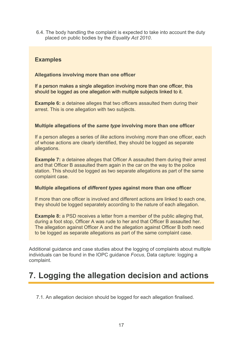6.4. The body handling the complaint is expected to take into account the duty placed on public bodies by the *Equality Act 2010*.

### **Examples**

#### **Allegations involving more than one officer**

If a person makes a single allegation involving more than one officer, this should be logged as one allegation with multiple subjects linked to it.

**Example 6:** a detainee alleges that two officers assaulted them during their arrest. This is one allegation with two subjects.

#### **Multiple allegations of the** *same type* **involving more than one officer**

If a person alleges a series of *like* actions involving *more* than one officer, each of whose actions are clearly identified, they should be logged as separate allegations.

**Example 7:** a detainee alleges that Officer A assaulted them during their arrest and that Officer B assaulted them again in the car on the way to the police station. This should be logged as two separate allegations as part of the same complaint case.

#### **Multiple allegations of** *different types* **against more than one officer**

If more than one officer is involved and different actions are linked to each one, they should be logged separately according to the nature of each allegation.

**Example 8:** a PSD receives a letter from a member of the public alleging that, during a foot stop, Officer A was rude to her and that Officer B assaulted her. The allegation against Officer A and the allegation against Officer B both need to be logged as separate allegations as part of the same complaint case.

Additional guidance and case studies about the logging of complaints about multiple individuals can be found in the IOPC guidance *Focus*, Data capture: logging a complaint.

## **7. Logging the allegation decision and actions**

7.1. An allegation decision should be logged for each allegation finalised.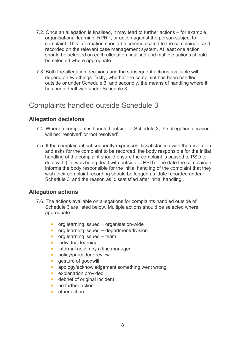- 7.2. Once an allegation is finalised, it may lead to further actions for example, organisational learning, RPRP, or action against the person subject to complaint. This information should be communicated to the complainant and recorded on the relevant case management system. At least one action should be selected on each allegation finalised and multiple actions should be selected where appropriate.
- 7.3. Both the allegation decisions and the subsequent actions available will depend on two things: firstly, whether the complaint has been handled outside or under Schedule 3; and secondly, the means of handling where it has been dealt with under Schedule 3.

## Complaints handled outside Schedule 3

### **Allegation decisions**

- 7.4. Where a complaint is handled outside of Schedule 3, the allegation decision will be: 'resolved' or 'not resolved'.
- 7.5. If the complainant subsequently expresses dissatisfaction with the resolution and asks for the complaint to be recorded, the body responsible for the initial handling of the complaint should ensure the complaint is passed to PSD to deal with (if it was being dealt with outside of PSD). The date the complainant informs the body responsible for the initial handling of the complaint that they wish their complaint recording should be logged as 'date recorded under Schedule 3' and the reason as 'dissatisfied after initial handling'.

### **Allegation actions**

- 7.6. The actions available on allegations for complaints handled outside of Schedule 3 are listed below. Multiple actions should be selected where appropriate:
	- org learning issued − organisation-wide
	- org learning issued − department/division
	- org learning issued − team
	- individual learning
	- informal action by a line manager
	- policy/procedure review
	- gesture of goodwill
	- apology/acknowledgement something went wrong
	- explanation provided
	- debrief of original incident
	- no further action
	- other action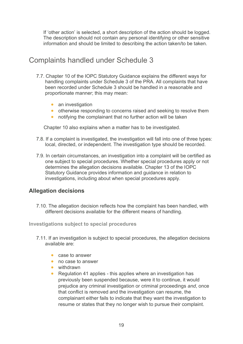If 'other action' is selected, a short description of the action should be logged. The description should not contain any personal identifying or other sensitive information and should be limited to describing the action taken/to be taken.

## Complaints handled under Schedule 3

- 7.7. Chapter 10 of the IOPC Statutory Guidance explains the different ways for handling complaints under Schedule 3 of the PRA. All complaints that have been recorded under Schedule 3 should be handled in a reasonable and proportionate manner; this may mean:
	- an investigation
	- otherwise responding to concerns raised and seeking to resolve them
	- notifying the complainant that no further action will be taken

Chapter 10 also explains when a matter has to be investigated.

- 7.8. If a complaint is investigated, the investigation will fall into one of three types: local, directed, or independent. The investigation type should be recorded.
- 7.9. In certain circumstances, an investigation into a complaint will be certified as one subject to special procedures. Whether special procedures apply or not determines the allegation decisions available. Chapter 13 of the IOPC Statutory Guidance provides information and guidance in relation to investigations, including about when special procedures apply.

#### **Allegation decisions**

7.10. The allegation decision reflects how the complaint has been handled, with different decisions available for the different means of handling.

#### **Investigations subject to special procedures**

- 7.11. If an investigation is subject to special procedures, the allegation decisions available are:
	- case to answer
	- no case to answer
	- withdrawn
	- Regulation 41 applies this applies where an investigation has previously been suspended because, were it to continue, it would prejudice any criminal investigation or criminal proceedings *and*, once that conflict is removed and the investigation can resume, the complainant either fails to indicate that they want the investigation to resume or states that they no longer wish to pursue their complaint.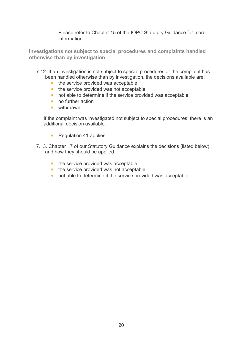Please refer to Chapter 15 of the IOPC Statutory Guidance for more information.

**Investigations not subject to special procedures and complaints handled otherwise than by investigation**

- 7.12. If an investigation is not subject to special procedures or the complaint has been handled otherwise than by investigation, the decisions available are:
	- the service provided was acceptable
	- the service provided was not acceptable
	- not able to determine if the service provided was acceptable
	- no further action
	- withdrawn

If the complaint was investigated not subject to special procedures, there is an additional decision available:

- Regulation 41 applies
- 7.13. Chapter 17 of our Statutory Guidance explains the decisions (listed below) and how they should be applied:
	- the service provided was acceptable
	- the service provided was not acceptable
	- not able to determine if the service provided was acceptable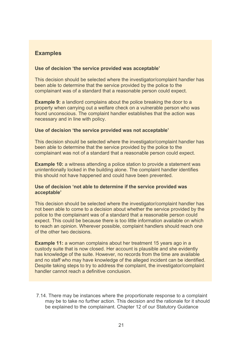### **Examples**

#### **Use of decision 'the service provided was acceptable'**

This decision should be selected where the investigator/complaint handler has been able to determine that the service provided by the police to the complainant was of a standard that a reasonable person could expect.

**Example 9:** a landlord complains about the police breaking the door to a property when carrying out a welfare check on a vulnerable person who was found unconscious. The complaint handler establishes that the action was necessary and in line with policy.

#### **Use of decision 'the service provided was not acceptable'**

This decision should be selected where the investigator/complaint handler has been able to determine that the service provided by the police to the complainant was not of a standard that a reasonable person could expect.

**Example 10:** a witness attending a police station to provide a statement was unintentionally locked in the building alone. The complaint handler identifies this should not have happened and could have been prevented.

#### **Use of decision 'not able to determine if the service provided was acceptable'**

This decision should be selected where the investigator/complaint handler has not been able to come to a decision about whether the service provided by the police to the complainant was of a standard that a reasonable person could expect. This could be because there is too little information available on which to reach an opinion. Wherever possible, complaint handlers should reach one of the other two decisions.

**Example 11:** a woman complains about her treatment 15 years ago in a custody suite that is now closed. Her account is plausible and she evidently has knowledge of the suite. However, no records from the time are available and no staff who may have knowledge of the alleged incident can be identified. Despite taking steps to try to address the complaint, the investigator/complaint handler cannot reach a definitive conclusion.

7.14. There may be instances where the proportionate response to a complaint may be to take no further action. This decision and the rationale for it should be explained to the complainant. Chapter 12 of our Statutory Guidance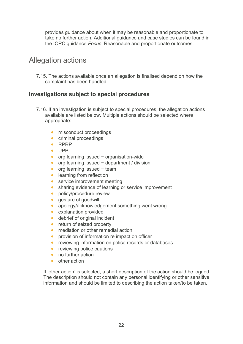provides guidance about when it may be reasonable and proportionate to take no further action. Additional guidance and case studies can be found in the IOPC guidance *Focus*, Reasonable and proportionate outcomes.

## Allegation actions

7.15. The actions available once an allegation is finalised depend on how the complaint has been handled.

### **Investigations subject to special procedures**

- 7.16. If an investigation is subject to special procedures, the allegation actions available are listed below. Multiple actions should be selected where appropriate:
	- misconduct proceedings
	- criminal proceedings
	- RPRP
	- UPP
	- org learning issued − organisation-wide
	- org learning issued − department / division
	- org learning issued − team
	- learning from reflection
	- service improvement meeting
	- sharing evidence of learning or service improvement
	- policy/procedure review
	- gesture of goodwill
	- apology/acknowledgement something went wrong
	- explanation provided
	- debrief of original incident
	- return of seized property
	- mediation or other remedial action
	- provision of information re impact on officer
	- reviewing information on police records or databases
	- reviewing police cautions
	- no further action
	- other action

If 'other action' is selected, a short description of the action should be logged. The description should not contain any personal identifying or other sensitive information and should be limited to describing the action taken/to be taken.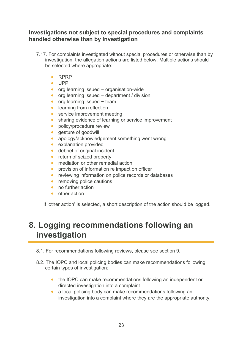#### **Investigations not subject to special procedures and complaints handled otherwise than by investigation**

- 7.17. For complaints investigated without special procedures or otherwise than by investigation, the allegation actions are listed below. Multiple actions should be selected where appropriate:
	- RPRP
	- UPP
	- org learning issued − organisation-wide
	- org learning issued − department / division
	- org learning issued − team
	- learning from reflection
	- service improvement meeting
	- sharing evidence of learning or service improvement
	- policy/procedure review
	- gesture of goodwill
	- apology/acknowledgement something went wrong
	- explanation provided
	- debrief of original incident
	- return of seized property
	- mediation or other remedial action
	- provision of information re impact on officer
	- reviewing information on police records or databases
	- removing police cautions
	- no further action
	- other action

If 'other action' is selected, a short description of the action should be logged.

## **8. Logging recommendations following an investigation**

- 8.1. For recommendations following reviews, please see section 9.
- 8.2. The IOPC and local policing bodies can make recommendations following certain types of investigation:
	- the IOPC can make recommendations following an independent or directed investigation into a complaint
	- a local policing body can make recommendations following an investigation into a complaint where they are the appropriate authority,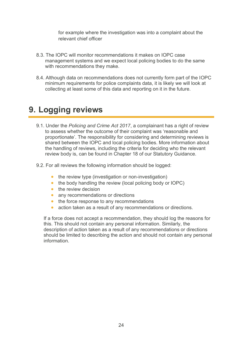for example where the investigation was into a complaint about the relevant chief officer

- 8.3. The IOPC will monitor recommendations it makes on IOPC case management systems and we expect local policing bodies to do the same with recommendations they make.
- 8.4. Although data on recommendations does not currently form part of the IOPC minimum requirements for police complaints data, it is likely we will look at collecting at least some of this data and reporting on it in the future.

## **9. Logging reviews**

- 9.1. Under the *Policing and Crime Act 2017*, a complainant has a right of review to assess whether the outcome of their complaint was 'reasonable and proportionate'. The responsibility for considering and determining reviews is shared between the IOPC and local policing bodies. More information about the handling of reviews, including the criteria for deciding who the relevant review body is, can be found in Chapter 18 of our Statutory Guidance.
- 9.2. For all reviews the following information should be logged:
	- the review type (investigation or non-investigation)
	- the body handling the review (local policing body or IOPC)
	- the review decision
	- any recommendations or directions
	- the force response to any recommendations
	- action taken as a result of any recommendations or directions.

If a force does not accept a recommendation, they should log the reasons for this. This should not contain any personal information. Similarly, the description of action taken as a result of any recommendations or directions should be limited to describing the action and should not contain any personal information.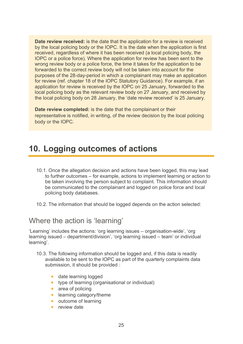**Date review received:** is the date that the application for a review is received by the local policing body or the IOPC. It is the date when the application is first received, regardless of where it has been received (a local policing body, the IOPC or a police force). Where the application for review has been sent to the wrong review body or a police force, the time it takes for the application to be forwarded to the correct review body will not be taken into account for the purposes of the 28-day-period in which a complainant may make an application for review (ref. chapter 18 of the IOPC Statutory Guidance). For example, if an application for review is received by the IOPC on 25 January, forwarded to the local policing body as the relevant review body on 27 January, and received by the local policing body on 28 January, the 'date review received' is 25 January.

**Date review completed:** is the date that the complainant or their representative is notified, in writing, of the review decision by the local policing body or the IOPC.

# **10. Logging outcomes of actions**

- 10.1. Once the allegation decision and actions have been logged, this may lead to further outcomes – for example, actions to implement learning or action to be taken involving the person subject to complaint. This information should be communicated to the complainant and logged on police force and local policing body databases.
- 10.2. The information that should be logged depends on the action selected:

### Where the action is 'learning'

'Learning' includes the actions: 'org learning issues – organisation-wide', 'org learning issued – department/division', 'org learning issued – team' or individual learning'.

- 10.3. The following information should be logged and, if this data is readily available to be sent to the IOPC as part of the quarterly complaints data submission, it should be provided :
	- date learning logged
	- type of learning (organisational or individual)
	- area of policing
	- learning category/theme
	- outcome of learning
	- review date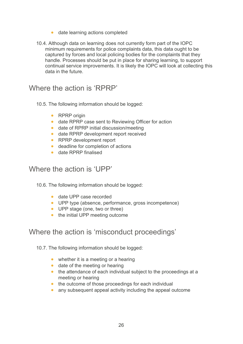- date learning actions completed
- 10.4. Although data on learning does not currently form part of the IOPC minimum requirements for police complaints data, this data ought to be captured by forces and local policing bodies for the complaints that they handle. Processes should be put in place for sharing learning, to support continual service improvements. It is likely the IOPC will look at collecting this data in the future.

Where the action is 'RPRP'

- 10.5. The following information should be logged:
	- RPRP origin
	- date RPRP case sent to Reviewing Officer for action
	- date of RPRP initial discussion/meeting
	- date RPRP development report received
	- RPRP development report
	- deadline for completion of actions
	- date RPRP finalised

## Where the action is 'UPP'

10.6. The following information should be logged:

- date UPP case recorded
- UPP type (absence, performance, gross incompetence)
- UPP stage (one, two or three)
- the initial UPP meeting outcome

## Where the action is 'misconduct proceedings'

10.7. The following information should be logged:

- whether it is a meeting or a hearing
- date of the meeting or hearing
- the attendance of each individual subject to the proceedings at a meeting or hearing
- the outcome of those proceedings for each individual
- any subsequent appeal activity including the appeal outcome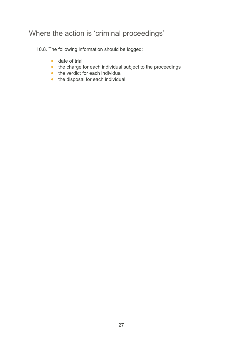## Where the action is 'criminal proceedings'

10.8. The following information should be logged:

- date of trial
- the charge for each individual subject to the proceedings
- the verdict for each individual
- the disposal for each individual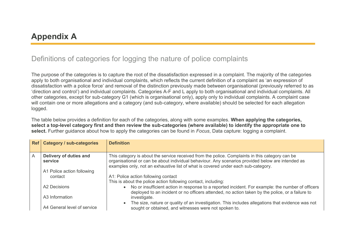# **Appendix A**

## Definitions of categories for logging the nature of police complaints

The purpose of the categories is to capture the root of the dissatisfaction expressed in a complaint. The majority of the categories apply to both organisational and individual complaints, which reflects the current definition of a complaint as 'an expression of dissatisfaction with a police force' and removal of the distinction previously made between organisational (previously referred to as 'direction and control') and individual complaints. Categories A-F and L apply to both organisational and individual complaints. All other categories, except for sub-category G1 (which is organisational only), apply only to individual complaints. A complaint case will contain one or more allegations and a category (and sub-category, where available) should be selected for each allegation logged.

The table below provides a definition for each of the categories, along with some examples. **When applying the categories, select a top-level category first and then review the sub-categories (where available) to identify the appropriate one to select.** Further guidance about how to apply the categories can be found in *Focus*, Data capture: logging a complaint.

|   | Ref   Category / sub-categories   | <b>Definition</b>                                                                                                                                                                                                                                                                         |
|---|-----------------------------------|-------------------------------------------------------------------------------------------------------------------------------------------------------------------------------------------------------------------------------------------------------------------------------------------|
| A | Delivery of duties and<br>service | This category is about the service received from the police. Complaints in this category can be<br>organisational or can be about individual behaviour. Any scenarios provided below are intended as<br>examples only, not an exhaustive list of what is covered under each sub-category. |
|   | A1 Police action following        |                                                                                                                                                                                                                                                                                           |
|   | contact                           | A1: Police action following contact<br>This is about the police action following contact, including:                                                                                                                                                                                      |
|   | A2 Decisions                      | • No or insufficient action in response to a reported incident. For example: the number of officers                                                                                                                                                                                       |
|   | A3 Information                    | deployed to an incident or no officers attended, no action taken by the police, or a failure to<br>investigate.                                                                                                                                                                           |
|   | A4 General level of service       | The size, nature or quality of an investigation. This includes allegations that evidence was not<br>sought or obtained, and witnesses were not spoken to.                                                                                                                                 |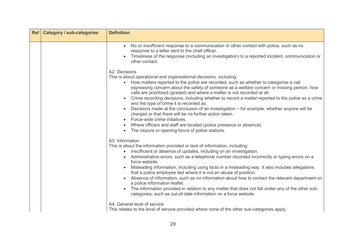| Ref   Category / sub-categories | <b>Definition</b>                                                                                                                                                                                                                                                                                                                                                                                                                                                                                                                                                                                                                                                                                                                                                                                                                                                                                                   |
|---------------------------------|---------------------------------------------------------------------------------------------------------------------------------------------------------------------------------------------------------------------------------------------------------------------------------------------------------------------------------------------------------------------------------------------------------------------------------------------------------------------------------------------------------------------------------------------------------------------------------------------------------------------------------------------------------------------------------------------------------------------------------------------------------------------------------------------------------------------------------------------------------------------------------------------------------------------|
|                                 | No or insufficient response to a communication or other contact with police, such as no<br>$\bullet$<br>response to a letter sent to the chief officer.<br>Timeliness of the response (including an investigation) to a reported incident, communication or<br>other contact.                                                                                                                                                                                                                                                                                                                                                                                                                                                                                                                                                                                                                                       |
|                                 | A2: Decisions<br>This is about operational and organisational decisions, including:<br>How matters reported to the police are recorded, such as whether to categorise a call<br>$\bullet$<br>expressing concern about the safety of someone as a welfare concern or missing person, how<br>calls are prioritised (graded) and where a matter is not recorded at all.<br>Crime recording decisions, including whether to record a matter reported to the police as a crime<br>and the type of crime it is recorded as.<br>Decisions made at the conclusion of an investigation $-$ for example, whether anyone will be<br>charged or that there will be no further action taken.<br>Force-wide crime initiatives.<br>Where officers and staff are located (police presence or absence).<br>The closure or opening hours of police stations.                                                                          |
|                                 | A3: Information<br>This is about the information provided or lack of information, including:<br>Insufficient or absence of updates, including on an investigation.<br>$\bullet$<br>Administrative errors, such as a telephone number recorded incorrectly or typing errors on a<br>force website.<br>Misleading information, including using facts in a misleading way. It also includes allegations<br>that a police employee lied where it is not an abuse of position.<br>Absence of information, such as no information about how to contact the relevant department on<br>a police information leaflet.<br>The information provided in relation to any matter that does not fall under any of the other sub-<br>categories, such as out-of-date information on a force website.<br>A4: General level of service<br>This relates to the level of service provided where none of the other sub-categories apply. |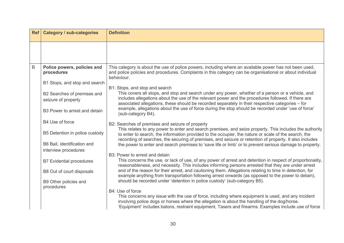| Ref         | <b>Category / sub-categories</b>                   | <b>Definition</b>                                                                                                                                                                                                                                                                                                          |
|-------------|----------------------------------------------------|----------------------------------------------------------------------------------------------------------------------------------------------------------------------------------------------------------------------------------------------------------------------------------------------------------------------------|
|             |                                                    |                                                                                                                                                                                                                                                                                                                            |
| $\mathsf B$ | Police powers, policies and<br>procedures          | This category is about the use of police powers, including where an available power has not been used,<br>and police policies and procedures. Complaints in this category can be organisational or about individual<br>behaviour.                                                                                          |
|             | B1 Stops, and stop and search                      | B1: Stops, and stop and search                                                                                                                                                                                                                                                                                             |
|             | B2 Searches of premises and<br>seizure of property | This covers all stops, and stop and search under any power, whether of a person or a vehicle, and<br>includes allegations about the use of the relevant power and the procedures followed. If there are<br>associated allegations, these should be recorded separately in their respective categories – for                |
|             | B3 Power to arrest and detain                      | example, allegations about the use of force during the stop should be recorded under 'use of force'<br>(sub-category B4).                                                                                                                                                                                                  |
|             | B4 Use of force                                    | B2: Searches of premises and seizure of property                                                                                                                                                                                                                                                                           |
|             | B5 Detention in police custody                     | This relates to any power to enter and search premises, and seize property. This includes the authority<br>to enter to search, the information provided to the occupier, the nature or scale of the search, the<br>recording of searches, the securing of premises, and seizure or retention of property. It also includes |
|             | B6 Bail, identification and                        | the power to enter and search premises to 'save life or limb' or to prevent serious damage to property.                                                                                                                                                                                                                    |
|             | interview procedures                               | B3: Power to arrest and detain                                                                                                                                                                                                                                                                                             |
|             | <b>B7 Evidential procedures</b>                    | This concerns the use, or lack of use, of any power of arrest and detention in respect of proportionality,<br>reasonableness, and necessity. This includes informing persons arrested that they are under arrest                                                                                                           |
|             | B8 Out of court disposals                          | and of the reason for their arrest, and cautioning them. Allegations relating to time in detention, for<br>example anything from transportation following arrest onwards (as opposed to the power to detain),                                                                                                              |
|             | B9 Other policies and<br>procedures                | should be recorded under 'detention in police custody' (sub-category B5).                                                                                                                                                                                                                                                  |
|             |                                                    | B4: Use of force                                                                                                                                                                                                                                                                                                           |
|             |                                                    | This concerns any issue with the use of force, including where equipment is used, and any incident<br>involving police dogs or horses where the allegation is about the handling of the dog/horse.<br>'Equipment' includes batons, restraint equipment, Tasers and firearms. Examples include use of force                 |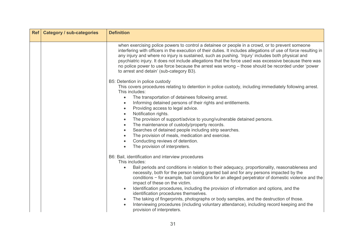| <b>Ref</b> | <b>Category / sub-categories</b> | <b>Definition</b>                                                                                                                                                                                                                                                                                                                                                                                                                                                                                                                                                                                                                                                                                                                                                               |
|------------|----------------------------------|---------------------------------------------------------------------------------------------------------------------------------------------------------------------------------------------------------------------------------------------------------------------------------------------------------------------------------------------------------------------------------------------------------------------------------------------------------------------------------------------------------------------------------------------------------------------------------------------------------------------------------------------------------------------------------------------------------------------------------------------------------------------------------|
|            |                                  | when exercising police powers to control a detainee or people in a crowd, or to prevent someone<br>interfering with officers in the execution of their duties. It includes allegations of use of force resulting in<br>any injury and where no injury is sustained, such as pushing. 'Injury' includes both physical and<br>psychiatric injury. It does not include allegations that the force used was excessive because there was<br>no police power to use force because the arrest was wrong - those should be recorded under 'power<br>to arrest and detain' (sub-category B3).                                                                                                                                                                                            |
|            |                                  | B5: Detention in police custody<br>This covers procedures relating to detention in police custody, including immediately following arrest.<br>This includes:<br>The transportation of detainees following arrest.<br>$\bullet$<br>Informing detained persons of their rights and entitlements.<br>$\bullet$<br>Providing access to legal advice.<br>$\bullet$<br>Notification rights.<br>$\bullet$<br>The provision of support/advice to young/vulnerable detained persons.<br>$\bullet$<br>The maintenance of custody/property records.<br>$\bullet$<br>Searches of detained people including strip searches.<br>$\bullet$<br>The provision of meals, medication and exercise.<br>$\bullet$<br>Conducting reviews of detention.<br>The provision of interpreters.<br>$\bullet$ |
|            |                                  | B6: Bail, identification and interview procedures<br>This includes:<br>Bail periods and conditions in relation to their adequacy, proportionality, reasonableness and<br>necessity, both for the person being granted bail and for any persons impacted by the<br>conditions - for example, bail conditions for an alleged perpetrator of domestic violence and the<br>impact of these on the victim.<br>Identification procedures, including the provision of information and options, and the<br>identification procedures themselves.<br>The taking of fingerprints, photographs or body samples, and the destruction of those.<br>Interviewing procedures (including voluntary attendance), including record keeping and the<br>provision of interpreters.                  |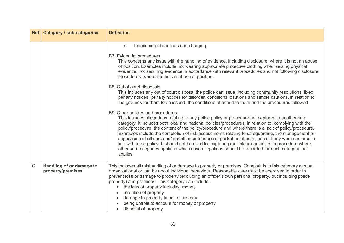|             | Ref   Category / sub-categories               | <b>Definition</b>                                                                                                                                                                                                                                                                                                                                                                                                                                                                                                                                                                                                                                                                                                                                                                                                                                                                                                                                                                                                                                                                                                                                                                                                                                                                                                                                                                                                                                                                                                                                                                                               |
|-------------|-----------------------------------------------|-----------------------------------------------------------------------------------------------------------------------------------------------------------------------------------------------------------------------------------------------------------------------------------------------------------------------------------------------------------------------------------------------------------------------------------------------------------------------------------------------------------------------------------------------------------------------------------------------------------------------------------------------------------------------------------------------------------------------------------------------------------------------------------------------------------------------------------------------------------------------------------------------------------------------------------------------------------------------------------------------------------------------------------------------------------------------------------------------------------------------------------------------------------------------------------------------------------------------------------------------------------------------------------------------------------------------------------------------------------------------------------------------------------------------------------------------------------------------------------------------------------------------------------------------------------------------------------------------------------------|
|             |                                               | The issuing of cautions and charging.<br>$\bullet$<br><b>B7: Evidential procedures</b><br>This concerns any issue with the handling of evidence, including disclosure, where it is not an abuse<br>of position. Examples include not wearing appropriate protective clothing when seizing physical<br>evidence, not securing evidence in accordance with relevant procedures and not following disclosure<br>procedures, where it is not an abuse of position.<br>B8: Out of court disposals<br>This includes any out of court disposal the police can issue, including community resolutions, fixed<br>penalty notices, penalty notices for disorder, conditional cautions and simple cautions, in relation to<br>the grounds for them to be issued, the conditions attached to them and the procedures followed.<br>B9: Other policies and procedures<br>This includes allegations relating to any police policy or procedure not captured in another sub-<br>category. It includes both local and national policies/procedures, in relation to: complying with the<br>policy/procedure, the content of the policy/procedure and where there is a lack of policy/procedure.<br>Examples include the completion of risk assessments relating to safeguarding, the management or<br>supervision of officers and/or staff, maintenance of pocket notebooks, use of body worn cameras in<br>line with force policy. It should not be used for capturing multiple irregularities in procedure where<br>other sub-categories apply, in which case allegations should be recorded for each category that<br>applies. |
| $\mathsf C$ | Handling of or damage to<br>property/premises | This includes all mishandling of or damage to property or premises. Complaints in this category can be<br>organisational or can be about individual behaviour. Reasonable care must be exercised in order to<br>prevent loss or damage to property (excluding an officer's own personal property, but including police<br>property) and premises. This category can include:<br>the loss of property including money<br>retention of property<br>damage to property in police custody<br>being unable to account for money or property<br>disposal of property<br>$\bullet$                                                                                                                                                                                                                                                                                                                                                                                                                                                                                                                                                                                                                                                                                                                                                                                                                                                                                                                                                                                                                                     |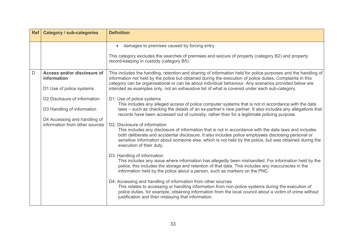|   | Ref   Category / sub-categories                                | <b>Definition</b>                                                                                                                                                                                                                                                                                                                                                                   |
|---|----------------------------------------------------------------|-------------------------------------------------------------------------------------------------------------------------------------------------------------------------------------------------------------------------------------------------------------------------------------------------------------------------------------------------------------------------------------|
|   |                                                                | damages to premises caused by forcing entry<br>$\bullet$                                                                                                                                                                                                                                                                                                                            |
|   |                                                                | This category excludes the searches of premises and seizure of property (category B2) and property<br>record-keeping in custody (category B5).                                                                                                                                                                                                                                      |
| D | Access and/or disclosure of<br>information                     | This includes the handling, retention and sharing of information held for police purposes and the handling of<br>information not held by the police but obtained during the execution of police duties. Complaints in this<br>category can be organisational or can be about individual behaviour. Any scenarios provided below are                                                 |
|   | D1 Use of police systems                                       | intended as examples only, not an exhaustive list of what is covered under each sub-category.                                                                                                                                                                                                                                                                                       |
|   | D <sub>2</sub> Disclosure of information                       | D1: Use of police systems<br>This includes any alleged access of police computer systems that is not in accordance with the data                                                                                                                                                                                                                                                    |
|   | D3 Handling of information                                     | laws – such as checking the details of an ex-partner's new partner. It also includes any allegations that<br>records have been accessed out of curiosity, rather than for a legitimate policing purpose.                                                                                                                                                                            |
|   | D4 Accessing and handling of<br>information from other sources | D2: Disclosure of information<br>This includes any disclosure of information that is not in accordance with the data laws and includes<br>both deliberate and accidental disclosure. It also includes police employees disclosing personal or<br>sensitive information about someone else, which is not held by the police, but was obtained during the<br>execution of their duty. |
|   |                                                                | D3: Handling of information<br>This includes any issue where information has allegedly been mishandled. For information held by the<br>police, this includes the storage and retention of that data. This includes any inaccuracies in the<br>information held by the police about a person, such as markers on the PNC.                                                            |
|   |                                                                | D4: Accessing and handling of information from other sources<br>This relates to accessing or handling information from non-police systems during the execution of<br>police duties, for example, obtaining information from the local council about a victim of crime without<br>justification and then mislaying that information.                                                 |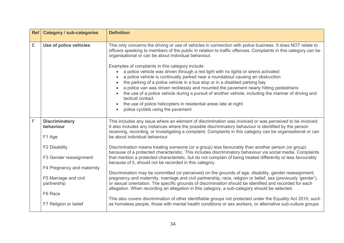| <b>Ref</b> | <b>Category / sub-categories</b>                                              | <b>Definition</b>                                                                                                                                                                                                                                                                                                                                                                                                                                                                                                                                                                                                                       |
|------------|-------------------------------------------------------------------------------|-----------------------------------------------------------------------------------------------------------------------------------------------------------------------------------------------------------------------------------------------------------------------------------------------------------------------------------------------------------------------------------------------------------------------------------------------------------------------------------------------------------------------------------------------------------------------------------------------------------------------------------------|
| Ε          | Use of police vehicles                                                        | This only concerns the driving or use of vehicles in connection with police business. It does NOT relate to<br>officers speaking to members of the public in relation to traffic offences. Complaints in this category can be<br>organisational or can be about individual behaviour.                                                                                                                                                                                                                                                                                                                                                   |
|            |                                                                               | Examples of complaints in this category include:<br>a police vehicle was driven through a red light with no lights or sirens activated<br>a police vehicle is continually parked near a roundabout causing an obstruction<br>the parking of a police vehicle in a bus stop or in a disabled parking bay<br>a police van was driven recklessly and mounted the pavement nearly hitting pedestrians<br>the use of a police vehicle during a pursuit of another vehicle, including the manner of driving and<br>tactical contact<br>the use of police helicopters in residential areas late at night<br>police cyclists using the pavement |
| F          | <b>Discriminatory</b><br>behaviour<br>F1 Age                                  | This includes any issue where an element of discrimination was involved or was perceived to be involved.<br>It also includes any instances where the possible discriminatory behaviour is identified by the person<br>receiving, recording, or investigating a complaint. Complaints in this category can be organisational or can<br>be about individual behaviour.                                                                                                                                                                                                                                                                    |
|            | F2 Disability<br>F3 Gender reassignment                                       | Discrimination means treating someone (or a group) less favourably than another person (or group)<br>because of a protected characteristic. This includes discriminatory behaviour via social media. Complaints<br>that mention a protected characteristic, but do not complain of being treated differently or less favourably<br>because of it, should not be recorded in this category.                                                                                                                                                                                                                                              |
|            | F4 Pregnancy and maternity<br>F5 Marriage and civil<br>partnership<br>F6 Race | Discrimination may be committed (or perceived) on the grounds of age, disability, gender reassignment,<br>pregnancy and maternity, marriage and civil partnership, race, religion or belief, sex (previously 'gender'),<br>or sexual orientation. The specific grounds of discrimination should be identified and recorded for each<br>allegation. When recording an allegation in this category, a sub-category should be selected.                                                                                                                                                                                                    |
|            | F7 Religion or belief                                                         | This also covers discrimination of other identifiable groups not protected under the Equality Act 2010, such<br>as homeless people, those with mental health conditions or sex workers, or alternative sub-culture groups                                                                                                                                                                                                                                                                                                                                                                                                               |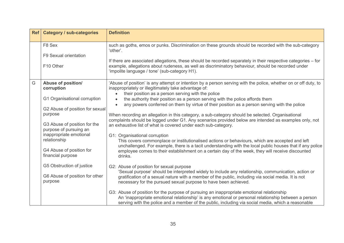|   | Ref   Category / sub-categories                                                                                                                                                                                                                                                                                                                       | <b>Definition</b>                                                                                                                                                                                                                                                                                                                                                                                                                                                                                                                                                                                                                                                                                                                                                                                                                                                                                                                                                                                                                                                                                                                                                                                                                                                                                                                                                                                                    |
|---|-------------------------------------------------------------------------------------------------------------------------------------------------------------------------------------------------------------------------------------------------------------------------------------------------------------------------------------------------------|----------------------------------------------------------------------------------------------------------------------------------------------------------------------------------------------------------------------------------------------------------------------------------------------------------------------------------------------------------------------------------------------------------------------------------------------------------------------------------------------------------------------------------------------------------------------------------------------------------------------------------------------------------------------------------------------------------------------------------------------------------------------------------------------------------------------------------------------------------------------------------------------------------------------------------------------------------------------------------------------------------------------------------------------------------------------------------------------------------------------------------------------------------------------------------------------------------------------------------------------------------------------------------------------------------------------------------------------------------------------------------------------------------------------|
|   | F8 Sex<br>F9 Sexual orientation<br>F10 Other                                                                                                                                                                                                                                                                                                          | such as goths, emos or punks. Discrimination on these grounds should be recorded with the sub-category<br>'other'.<br>If there are associated allegations, these should be recorded separately in their respective categories – for<br>example, allegations about rudeness, as well as discriminatory behaviour, should be recorded under<br>'impolite language / tone' (sub-category H1).                                                                                                                                                                                                                                                                                                                                                                                                                                                                                                                                                                                                                                                                                                                                                                                                                                                                                                                                                                                                                           |
| G | <b>Abuse of position/</b><br>corruption<br>G1 Organisational corruption<br>G2 Abuse of position for sexual<br>purpose<br>G3 Abuse of position for the<br>purpose of pursuing an<br>inappropriate emotional<br>relationship<br>G4 Abuse of position for<br>financial purpose<br>G5 Obstruction of justice<br>G6 Abuse of position for other<br>purpose | 'Abuse of position' is any attempt or intention by a person serving with the police, whether on or off duty, to<br>inappropriately or illegitimately take advantage of:<br>their position as a person serving with the police<br>the authority their position as a person serving with the police affords them<br>$\bullet$<br>any powers conferred on them by virtue of their position as a person serving with the police<br>$\bullet$<br>When recording an allegation in this category, a sub-category should be selected. Organisational<br>complaints should be logged under G1. Any scenarios provided below are intended as examples only, not<br>an exhaustive list of what is covered under each sub-category.<br>G1: Organisational corruption<br>This covers commonplace or institutionalised actions or behaviours, which are accepted and left<br>unchallenged. For example, there is a tacit understanding with the local public houses that if any police<br>employee comes to their establishment on a certain day of the week, they will receive discounted<br>drinks.<br>G2: Abuse of position for sexual purpose<br>'Sexual purpose' should be interpreted widely to include any relationship, communication, action or<br>gratification of a sexual nature with a member of the public, including via social media. It is not<br>necessary for the pursued sexual purpose to have been achieved. |
|   |                                                                                                                                                                                                                                                                                                                                                       | G3: Abuse of position for the purpose of pursuing an inappropriate emotional relationship<br>An 'inappropriate emotional relationship' is any emotional or personal relationship between a person<br>serving with the police and a member of the public, including via social media, which a reasonable                                                                                                                                                                                                                                                                                                                                                                                                                                                                                                                                                                                                                                                                                                                                                                                                                                                                                                                                                                                                                                                                                                              |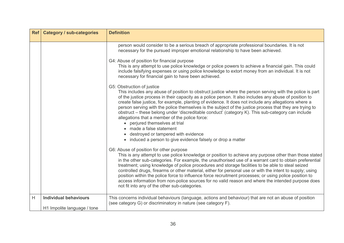|   | Ref   Category / sub-categories                             | <b>Definition</b>                                                                                                                                                                                                                                                                                                                                                                                                                                                                                                                                                                                                                                                                                                                                                                                                                                                                                                                                                              |
|---|-------------------------------------------------------------|--------------------------------------------------------------------------------------------------------------------------------------------------------------------------------------------------------------------------------------------------------------------------------------------------------------------------------------------------------------------------------------------------------------------------------------------------------------------------------------------------------------------------------------------------------------------------------------------------------------------------------------------------------------------------------------------------------------------------------------------------------------------------------------------------------------------------------------------------------------------------------------------------------------------------------------------------------------------------------|
|   |                                                             | person would consider to be a serious breach of appropriate professional boundaries. It is not<br>necessary for the pursued improper emotional relationship to have been achieved.<br>G4: Abuse of position for financial purpose<br>This is any attempt to use police knowledge or police powers to achieve a financial gain. This could<br>include falsifying expenses or using police knowledge to extort money from an individual. It is not<br>necessary for financial gain to have been achieved.<br>G5: Obstruction of justice<br>This includes any abuse of position to obstruct justice where the person serving with the police is part<br>of the justice process in their capacity as a police person. It also includes any abuse of position to<br>create false justice, for example, planting of evidence. It does not include any allegations where a<br>person serving with the police themselves is the subject of the justice process that they are trying to |
|   |                                                             | obstruct – these belong under 'discreditable conduct' (category K). This sub-category can include<br>allegations that a member of the police force:<br>• perjured themselves at trial<br>• made a false statement<br>• destroyed or tampered with evidence<br>• induced a person to give evidence falsely or drop a matter                                                                                                                                                                                                                                                                                                                                                                                                                                                                                                                                                                                                                                                     |
|   |                                                             | G6: Abuse of position for other purpose<br>This is any attempt to use police knowledge or position to achieve any purpose other than those stated<br>in the other sub-categories. For example, the unauthorised use of a warrant card to obtain preferential<br>treatment; using knowledge of police procedures and storage facilities to be able to steal seized<br>controlled drugs, firearms or other material, either for personal use or with the intent to supply; using<br>position within the police force to influence force recruitment processes; or using police position to<br>access information from non-police sources for no valid reason and where the intended purpose does<br>not fit into any of the other sub-categories.                                                                                                                                                                                                                                |
| H | <b>Individual behaviours</b><br>H1 Impolite language / tone | This concerns individual behaviours (language, actions and behaviour) that are not an abuse of position<br>(see category G) or discriminatory in nature (see category F).                                                                                                                                                                                                                                                                                                                                                                                                                                                                                                                                                                                                                                                                                                                                                                                                      |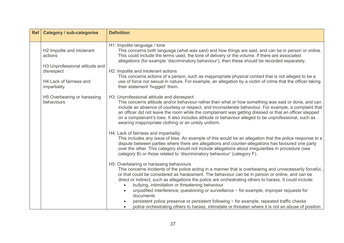| <b>Category / sub-categories</b>          | <b>Definition</b>                                                                                                                                                                                                                                                                                                                                                                                                                                                                                                                     |
|-------------------------------------------|---------------------------------------------------------------------------------------------------------------------------------------------------------------------------------------------------------------------------------------------------------------------------------------------------------------------------------------------------------------------------------------------------------------------------------------------------------------------------------------------------------------------------------------|
|                                           |                                                                                                                                                                                                                                                                                                                                                                                                                                                                                                                                       |
| H2 Impolite and intolerant<br>actions     | H1: Impolite language / tone<br>This concerns both language (what was said) and how things are said, and can be in person or online.<br>This could include the terms used, the tone of delivery or the volume. If there are associated<br>allegations (for example 'discriminatory behaviour'), then these should be recorded separately.                                                                                                                                                                                             |
| disrespect                                | H2: Impolite and intolerant actions<br>This concerns actions of a person, such as inappropriate physical contact that is not alleged to be a                                                                                                                                                                                                                                                                                                                                                                                          |
| H4 Lack of fairness and<br>impartiality   | use of force nor sexual in nature. For example, an allegation by a victim of crime that the officer taking<br>their statement 'hugged' them.                                                                                                                                                                                                                                                                                                                                                                                          |
| H5 Overbearing or harassing<br>behaviours | H3: Unprofessional attitude and disrespect<br>This concerns attitude and/or behaviour rather than what or how something was said or done, and can<br>include an absence of courtesy or respect, and inconsiderate behaviour. For example, a complaint that<br>an officer did not leave the room while the complainant was getting dressed or that an officer stepped<br>on a complainant's toes. It also includes attitude or behaviour alleged to be unprofessional, such as<br>wearing inappropriate clothing or an untidy uniform. |
|                                           | H4: Lack of fairness and impartiality<br>This includes any issue of bias. An example of this would be an allegation that the police response to a<br>dispute between parties where there are allegations and counter-allegations has favoured one party<br>over the other. This category should not include allegations about irregularities in procedure (see<br>category B) or those related to 'discriminatory behaviour' (category F).                                                                                            |
|                                           | H5: Overbearing or harassing behaviours<br>This concerns incidents of the police acting in a manner that is overbearing and unnecessarily forceful,<br>or that could be considered as harassment. The behaviour can be in person or online, and can be<br>direct or indirect, such as allegations the police are orchestrating others to harass. It could include:<br>bullying, intimidation or threatening behaviour                                                                                                                 |
|                                           | unjustified interference, questioning or surveillance - for example, improper requests for<br>documents                                                                                                                                                                                                                                                                                                                                                                                                                               |
|                                           | persistent police presence or persistent following - for example, repeated traffic checks<br>police orchestrating others to harass, intimidate or threaten where it is not an abuse of position                                                                                                                                                                                                                                                                                                                                       |
|                                           | Ref <br>H3 Unprofessional attitude and                                                                                                                                                                                                                                                                                                                                                                                                                                                                                                |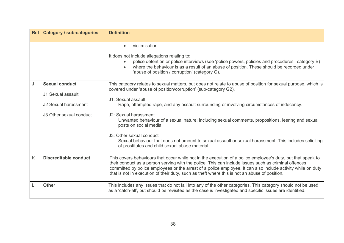|   | <b>Ref</b>   Category / sub-categories                                                        | <b>Definition</b>                                                                                                                                                                                                                                                                                                                                                                                                                                                                                                                                                                                                                                       |
|---|-----------------------------------------------------------------------------------------------|---------------------------------------------------------------------------------------------------------------------------------------------------------------------------------------------------------------------------------------------------------------------------------------------------------------------------------------------------------------------------------------------------------------------------------------------------------------------------------------------------------------------------------------------------------------------------------------------------------------------------------------------------------|
|   |                                                                                               | victimisation<br>It does not include allegations relating to:<br>police detention or police interviews (see 'police powers, policies and procedures', category B)<br>where the behaviour is as a result of an abuse of position. These should be recorded under<br>'abuse of position / corruption' (category G).                                                                                                                                                                                                                                                                                                                                       |
| J | <b>Sexual conduct</b><br>J1 Sexual assault<br>J2 Sexual harassment<br>J3 Other sexual conduct | This category relates to sexual matters, but does not relate to abuse of position for sexual purpose, which is<br>covered under 'abuse of position/corruption' (sub-category G2).<br>J1: Sexual assault<br>Rape, attempted rape, and any assault surrounding or involving circumstances of indecency.<br>J2: Sexual harassment<br>Unwanted behaviour of a sexual nature; including sexual comments, propositions, leering and sexual<br>posts on social media.<br>J3: Other sexual conduct<br>Sexual behaviour that does not amount to sexual assault or sexual harassment. This includes soliciting<br>of prostitutes and child sexual abuse material. |
| K | <b>Discreditable conduct</b>                                                                  | This covers behaviours that occur while not in the execution of a police employee's duty, but that speak to<br>their conduct as a person serving with the police. This can include issues such as criminal offences<br>committed by police employees or the arrest of a police employee. It can also include activity while on duty<br>that is not in execution of their duty, such as theft where this is not an abuse of position.                                                                                                                                                                                                                    |
| L | <b>Other</b>                                                                                  | This includes any issues that do not fall into any of the other categories. This category should not be used<br>as a 'catch-all', but should be revisited as the case is investigated and specific issues are identified.                                                                                                                                                                                                                                                                                                                                                                                                                               |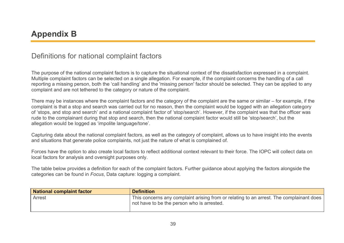### Definitions for national complaint factors

The purpose of the national complaint factors is to capture the situational context of the dissatisfaction expressed in a complaint. Multiple complaint factors can be selected on a single allegation. For example, if the complaint concerns the handling of a call reporting a missing person, both the 'call handling' and the 'missing person' factor should be selected. They can be applied to any complaint and are not tethered to the category or nature of the complaint.

There may be instances where the complaint factors and the category of the complaint are the same or similar – for example, if the complaint is that a stop and search was carried out for no reason, then the complaint would be logged with an allegation category of 'stops, and stop and search' and a national complaint factor of 'stop/search'. However, if the complaint was that the officer was rude to the complainant during that stop and search, then the national complaint factor would still be 'stop/search', but the allegation would be logged as 'impolite language/tone'.

Capturing data about the national complaint factors, as well as the category of complaint, allows us to have insight into the events and situations that generate police complaints, not just the nature of what is complained of.

Forces have the option to also create local factors to reflect additional context relevant to their force. The IOPC will collect data on local factors for analysis and oversight purposes only.

The table below provides a definition for each of the complaint factors. Further guidance about applying the factors alongside the categories can be found in *Focus*, Data capture: logging a complaint.

| National complaint factor | <b>Definition</b>                                                                                                                     |
|---------------------------|---------------------------------------------------------------------------------------------------------------------------------------|
| Arrest                    | This concerns any complaint arising from or relating to an arrest. The complainant does<br>not have to be the person who is arrested. |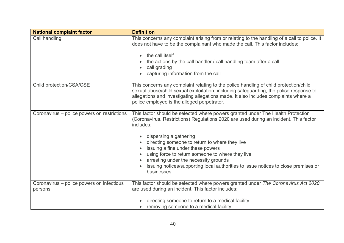| <b>National complaint factor</b>                     | <b>Definition</b>                                                                                                                                                                                                                                                                                                                                                                                                                                                                                       |
|------------------------------------------------------|---------------------------------------------------------------------------------------------------------------------------------------------------------------------------------------------------------------------------------------------------------------------------------------------------------------------------------------------------------------------------------------------------------------------------------------------------------------------------------------------------------|
| Call handling                                        | This concerns any complaint arising from or relating to the handling of a call to police. It<br>does not have to be the complainant who made the call. This factor includes:<br>the call itself<br>the actions by the call handler / call handling team after a call<br>call grading<br>capturing information from the call                                                                                                                                                                             |
| Child protection/CSA/CSE                             | This concerns any complaint relating to the police handling of child protection/child<br>sexual abuse/child sexual exploitation, including safeguarding, the police response to<br>allegations and investigating allegations made. It also includes complaints where a<br>police employee is the alleged perpetrator.                                                                                                                                                                                   |
| Coronavirus – police powers on restrictions          | This factor should be selected where powers granted under The Health Protection<br>(Coronavirus, Restrictions) Regulations 2020 are used during an incident. This factor<br>includes:<br>dispersing a gathering<br>directing someone to return to where they live<br>issuing a fine under these powers<br>using force to return someone to where they live<br>arresting under the necessity grounds<br>issuing notices/supporting local authorities to issue notices to close premises or<br>businesses |
| Coronavirus - police powers on infectious<br>persons | This factor should be selected where powers granted under The Coronavirus Act 2020<br>are used during an incident. This factor includes:<br>directing someone to return to a medical facility<br>removing someone to a medical facility                                                                                                                                                                                                                                                                 |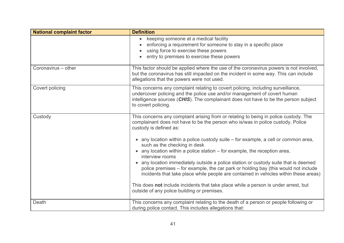| <b>National complaint factor</b> | <b>Definition</b>                                                                                                                                                                                                                                                                                                                                                                                                                                                                                                                                                                                                                                                                                                                                                                                                                  |
|----------------------------------|------------------------------------------------------------------------------------------------------------------------------------------------------------------------------------------------------------------------------------------------------------------------------------------------------------------------------------------------------------------------------------------------------------------------------------------------------------------------------------------------------------------------------------------------------------------------------------------------------------------------------------------------------------------------------------------------------------------------------------------------------------------------------------------------------------------------------------|
|                                  | keeping someone at a medical facility<br>enforcing a requirement for someone to stay in a specific place<br>using force to exercise these powers<br>entry to premises to exercise these powers                                                                                                                                                                                                                                                                                                                                                                                                                                                                                                                                                                                                                                     |
| Coronavirus – other              | This factor should be applied where the use of the coronavirus powers is not involved,<br>but the coronavirus has still impacted on the incident in some way. This can include<br>allegations that the powers were not used.                                                                                                                                                                                                                                                                                                                                                                                                                                                                                                                                                                                                       |
| Covert policing                  | This concerns any complaint relating to covert policing, including surveillance,<br>undercover policing and the police use and/or management of covert human<br>intelligence sources (CHIS). The complainant does not have to be the person subject<br>to covert policing.                                                                                                                                                                                                                                                                                                                                                                                                                                                                                                                                                         |
| Custody                          | This concerns any complaint arising from or relating to being in police custody. The<br>complainant does not have to be the person who is/was in police custody. Police<br>custody is defined as:<br>• any location within a police custody suite - for example, a cell or common area,<br>such as the checking in desk<br>• any location within a police station – for example, the reception area,<br>interview rooms<br>• any location immediately outside a police station or custody suite that is deemed<br>police premises – for example, the car park or holding bay (this would not include<br>incidents that take place while people are contained in vehicles within these areas)<br>This does not include incidents that take place while a person is under arrest, but<br>outside of any police building or premises. |
| Death                            | This concerns any complaint relating to the death of a person or people following or<br>during police contact. This includes allegations that:                                                                                                                                                                                                                                                                                                                                                                                                                                                                                                                                                                                                                                                                                     |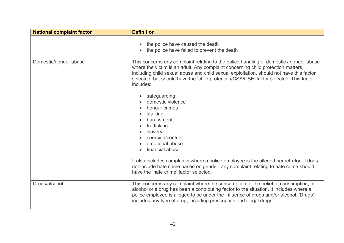| <b>National complaint factor</b> | <b>Definition</b>                                                                                                                                                                                                                                                                                                                                                                                                                                           |
|----------------------------------|-------------------------------------------------------------------------------------------------------------------------------------------------------------------------------------------------------------------------------------------------------------------------------------------------------------------------------------------------------------------------------------------------------------------------------------------------------------|
|                                  | the police have caused the death<br>the police have failed to prevent the death                                                                                                                                                                                                                                                                                                                                                                             |
| Domestic/gender abuse            | This concerns any complaint relating to the police handling of domestic / gender abuse<br>where the victim is an adult. Any complaint concerning child protection matters,<br>including child sexual abuse and child sexual exploitation, should not have this factor<br>selected, but should have the 'child protection/CSA/CSE' factor selected. This factor<br>includes:<br>safeguarding<br>domestic violence<br>honour crimes<br>stalking<br>harassment |
|                                  | trafficking<br>slavery<br>coercion/control<br>emotional abuse<br>financial abuse                                                                                                                                                                                                                                                                                                                                                                            |
|                                  | It also includes complaints where a police employee is the alleged perpetrator. It does<br>not include hate crime based on gender; any complaint relating to hate crime should<br>have the 'hate crime' factor selected.                                                                                                                                                                                                                                    |
| Drugs/alcohol                    | This concerns any complaint where the consumption or the belief of consumption, of<br>alcohol or a drug has been a contributing factor to the situation. It includes where a<br>police employee is alleged to be under the influence of drugs and/or alcohol. 'Drugs'<br>includes any type of drug, including prescription and illegal drugs.                                                                                                               |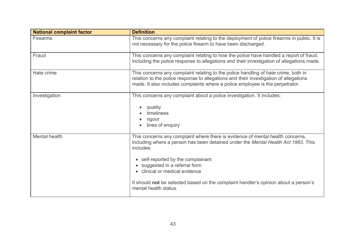| <b>National complaint factor</b> | <b>Definition</b>                                                                                                                                                                                                                                                                                                                                                                                        |
|----------------------------------|----------------------------------------------------------------------------------------------------------------------------------------------------------------------------------------------------------------------------------------------------------------------------------------------------------------------------------------------------------------------------------------------------------|
| <b>Firearms</b>                  | This concerns any complaint relating to the deployment of police firearms in public. It is<br>not necessary for the police firearm to have been discharged.                                                                                                                                                                                                                                              |
| Fraud                            | This concerns any complaint relating to how the police have handled a report of fraud,<br>including the police response to allegations and their investigation of allegations made.                                                                                                                                                                                                                      |
| Hate crime                       | This concerns any complaint relating to the police handling of hate crime, both in<br>relation to the police response to allegations and their investigation of allegations<br>made. It also includes complaints where a police employee is the perpetrator.                                                                                                                                             |
| Investigation                    | This concerns any complaint about a police investigation. It includes:<br>quality<br>timeliness<br>rigour<br>lines of enquiry                                                                                                                                                                                                                                                                            |
| Mental health                    | This concerns any complaint where there is evidence of mental health concerns,<br>including where a person has been detained under the Mental Health Act 1983. This<br>includes:<br>• self-reported by the complainant<br>suggested in a referral form<br>• clinical or medical evidence<br>It should not be selected based on the complaint handler's opinion about a person's<br>mental health status. |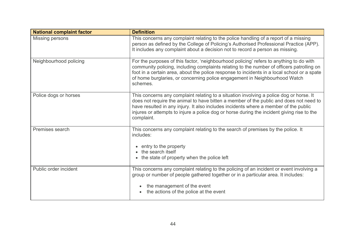| <b>National complaint factor</b> | <b>Definition</b>                                                                                                                                                                                                                                                                                                                                                                     |
|----------------------------------|---------------------------------------------------------------------------------------------------------------------------------------------------------------------------------------------------------------------------------------------------------------------------------------------------------------------------------------------------------------------------------------|
| <b>Missing persons</b>           | This concerns any complaint relating to the police handling of a report of a missing<br>person as defined by the College of Policing's Authorised Professional Practice (APP).<br>It includes any complaint about a decision not to record a person as missing.                                                                                                                       |
| Neighbourhood policing           | For the purposes of this factor, 'neighbourhood policing' refers to anything to do with<br>community policing, including complaints relating to the number of officers patrolling on<br>foot in a certain area, about the police response to incidents in a local school or a spate<br>of home burglaries, or concerning police engagement in Neighbourhood Watch<br>schemes.         |
| Police dogs or horses            | This concerns any complaint relating to a situation involving a police dog or horse. It<br>does not require the animal to have bitten a member of the public and does not need to<br>have resulted in any injury. It also includes incidents where a member of the public<br>injures or attempts to injure a police dog or horse during the incident giving rise to the<br>complaint. |
| Premises search                  | This concerns any complaint relating to the search of premises by the police. It<br>includes:<br>• entry to the property<br>• the search itself<br>• the state of property when the police left                                                                                                                                                                                       |
| Public order incident            | This concerns any complaint relating to the policing of an incident or event involving a<br>group or number of people gathered together or in a particular area. It includes:<br>the management of the event<br>the actions of the police at the event                                                                                                                                |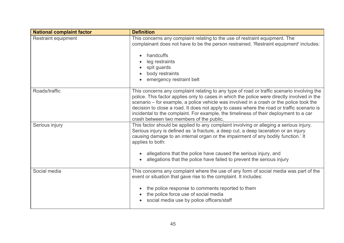| <b>National complaint factor</b> | <b>Definition</b>                                                                                                                                                                                                                                                                                                                                                                                                                                                                                                       |
|----------------------------------|-------------------------------------------------------------------------------------------------------------------------------------------------------------------------------------------------------------------------------------------------------------------------------------------------------------------------------------------------------------------------------------------------------------------------------------------------------------------------------------------------------------------------|
| <b>Restraint equipment</b>       | This concerns any complaint relating to the use of restraint equipment. The<br>complainant does not have to be the person restrained. 'Restraint equipment' includes:<br>handcuffs<br>leg restraints<br>spit guards<br>body restraints<br>emergency restraint belt                                                                                                                                                                                                                                                      |
| Roads/traffic                    | This concerns any complaint relating to any type of road or traffic scenario involving the<br>police. This factor applies only to cases in which the police were directly involved in the<br>scenario – for example, a police vehicle was involved in a crash or the police took the<br>decision to close a road. It does not apply to cases where the road or traffic scenario is<br>incidental to the complaint. For example, the timeliness of their deployment to a car<br>crash between two members of the public. |
| Serious injury                   | This factor should be applied to any complaint involving or alleging a serious injury.<br>Serious injury is defined as 'a fracture, a deep cut, a deep laceration or an injury<br>causing damage to an internal organ or the impairment of any bodily function.' It<br>applies to both:<br>allegations that the police have caused the serious injury, and<br>allegations that the police have failed to prevent the serious injury                                                                                     |
| Social media                     | This concerns any complaint where the use of any form of social media was part of the<br>event or situation that gave rise to the complaint. It includes:<br>the police response to comments reported to them<br>the police force use of social media<br>social media use by police officers/staff                                                                                                                                                                                                                      |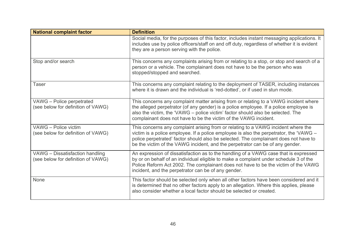| <b>National complaint factor</b>                                      | <b>Definition</b>                                                                                                                                                                                                                                                                                                                                    |
|-----------------------------------------------------------------------|------------------------------------------------------------------------------------------------------------------------------------------------------------------------------------------------------------------------------------------------------------------------------------------------------------------------------------------------------|
|                                                                       | Social media, for the purposes of this factor, includes instant messaging applications. It<br>includes use by police officers/staff on and off duty, regardless of whether it is evident<br>they are a person serving with the police.                                                                                                               |
| Stop and/or search                                                    | This concerns any complaints arising from or relating to a stop, or stop and search of a<br>person or a vehicle. The complainant does not have to be the person who was<br>stopped/stopped and searched.                                                                                                                                             |
| Taser                                                                 | This concerns any complaint relating to the deployment of TASER, including instances<br>where it is drawn and the individual is 'red-dotted', or if used in stun mode.                                                                                                                                                                               |
| VAWG - Police perpetrated<br>(see below for definition of VAWG)       | This concerns any complaint matter arising from or relating to a VAWG incident where<br>the alleged perpetrator (of any gender) is a police employee. If a police employee is<br>also the victim, the 'VAWG - police victim' factor should also be selected. The<br>complainant does not have to be the victim of the VAWG incident.                 |
| VAWG - Police victim<br>(see below for definition of VAWG)            | This concerns any complaint arising from or relating to a VAWG incident where the<br>victim is a police employee. If a police employee is also the perpetrator, the 'VAWG -<br>police perpetrated' factor should also be selected. The complainant does not have to<br>be the victim of the VAWG incident, and the perpetrator can be of any gender. |
| VAWG - Dissatisfaction handling<br>(see below for definition of VAWG) | An expression of dissatisfaction as to the handling of a VAWG case that is expressed<br>by or on behalf of an individual eligible to make a complaint under schedule 3 of the<br>Police Reform Act 2002. The complainant does not have to be the victim of the VAWG<br>incident, and the perpetrator can be of any gender.                           |
| <b>None</b>                                                           | This factor should be selected only when all other factors have been considered and it<br>is determined that no other factors apply to an allegation. Where this applies, please<br>also consider whether a local factor should be selected or created.                                                                                              |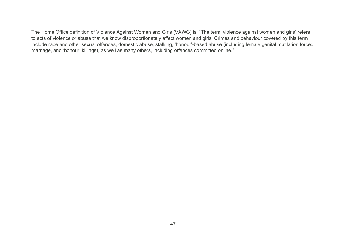The Home Office definition of Violence Against Women and Girls (VAWG) is: "The term 'violence against women and girls' refers to acts of violence or abuse that we know disproportionately affect women and girls. Crimes and behaviour covered by this term include rape and other sexual offences, domestic abuse, stalking, 'honour'-based abuse (including female genital mutilation forced marriage, and 'honour' killings), as well as many others, including offences committed online."